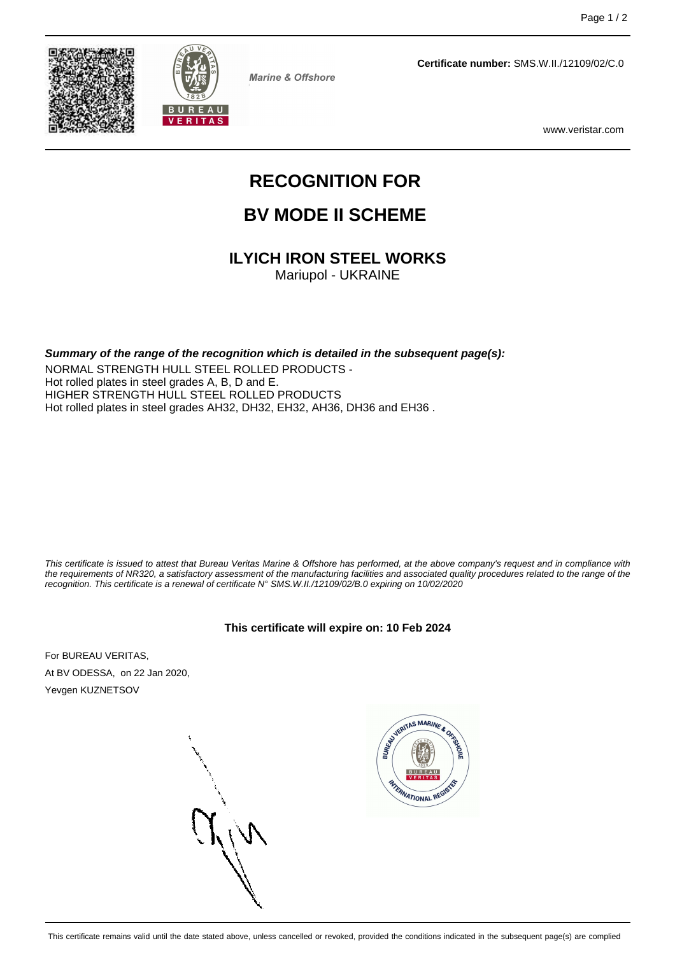



**Marine & Offshore** 

**Certificate number:** SMS.W.II./12109/02/C.0

www.veristar.com

# **RECOGNITION FOR**

## **BV MODE II SCHEME**

### **ILYICH IRON STEEL WORKS**

Mariupol - UKRAINE

**Summary of the range of the recognition which is detailed in the subsequent page(s):**

NORMAL STRENGTH HULL STEEL ROLLED PRODUCTS - Hot rolled plates in steel grades A, B, D and E. HIGHER STRENGTH HULL STEEL ROLLED PRODUCTS Hot rolled plates in steel grades AH32, DH32, EH32, AH36, DH36 and EH36 .

This certificate is issued to attest that Bureau Veritas Marine & Offshore has performed, at the above company's request and in compliance with the requirements of NR320, a satisfactory assessment of the manufacturing facilities and associated quality procedures related to the range of the recognition. This certificate is a renewal of certificate N° SMS.W.II./12109/02/B.0 expiring on 10/02/2020

#### **This certificate will expire on: 10 Feb 2024**

For BUREAU VERITAS, At BV ODESSA, on 22 Jan 2020, Yevgen KUZNETSOV